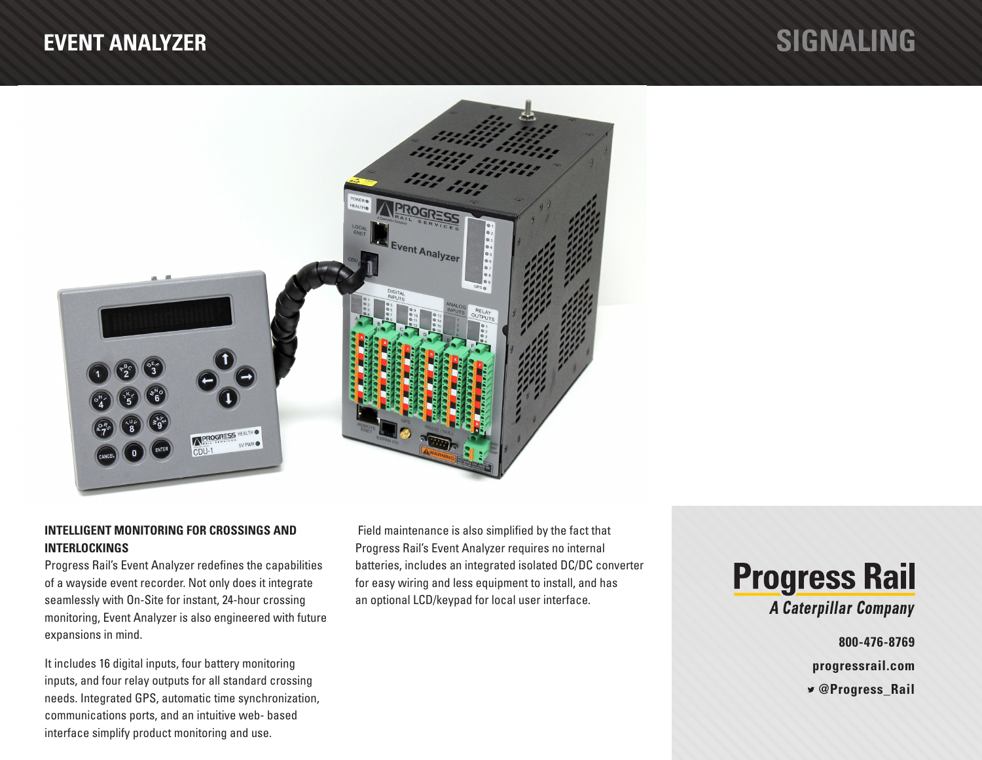# **EVENT ANALYZER SIGNALING**



## **INTELLIGENT MONITORING FOR CROSSINGS AND INTERLOCKINGS**

Progress Rail's Event Analyzer redefines the capabilities of a wayside event recorder. Not only does it integrate seamlessly with On-Site for instant, 24-hour crossing monitoring, Event Analyzer is also engineered with future expansions in mind.

It includes 16 digital inputs, four battery monitoring inputs, and four relay outputs for all standard crossing needs. Integrated GPS, automatic time synchronization, communications ports, and an intuitive web- based interface simplify product monitoring and use.

 Field maintenance is also simplified by the fact that Progress Rail's Event Analyzer requires no internal batteries, includes an integrated isolated DC/DC converter for easy wiring and less equipment to install, and has an optional LCD/keypad for local user interface.



**800-476-8769 progressrail.com**

 **@Progress\_Rail**